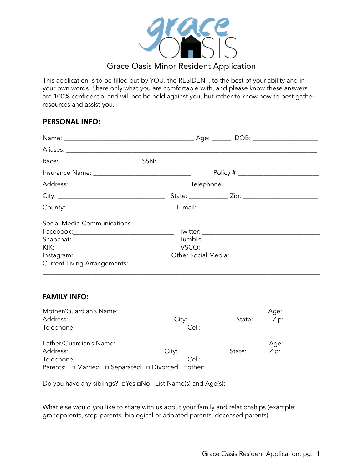

This application is to be filled out by YOU, the RESIDENT, to the best of your ability and in your own words. Share only what you are comfortable with, and please know these answers are 100% confidential and will not be held against you, but rather to know how to best gather resources and assist you.

## **PERSONAL INFO:**

|                                                                     | Policy # $\qquad \qquad$                                                                            |
|---------------------------------------------------------------------|-----------------------------------------------------------------------------------------------------|
|                                                                     |                                                                                                     |
|                                                                     |                                                                                                     |
|                                                                     |                                                                                                     |
| Social Media Communications-<br><b>Current Living Arrangements:</b> | Instagram: ___________________________________Other Social Media: _________________________________ |
|                                                                     |                                                                                                     |

# **FAMILY INFO:**

| Mother/Guardian's Name: _________________                               |                                                                                                                                                                                                                                     | Age: ____________ |
|-------------------------------------------------------------------------|-------------------------------------------------------------------------------------------------------------------------------------------------------------------------------------------------------------------------------------|-------------------|
|                                                                         |                                                                                                                                                                                                                                     |                   |
|                                                                         |                                                                                                                                                                                                                                     |                   |
|                                                                         |                                                                                                                                                                                                                                     | Age:___________   |
|                                                                         |                                                                                                                                                                                                                                     |                   |
|                                                                         | Cell: <b>Cell</b> Service and the contract of the contract of the contract of the contract of the contract of the contract of the contract of the contract of the contract of the contract of the contract of the contract of the c |                   |
| Parents: $\Box$ Married $\Box$ Separated $\Box$ Divorced $\Box$ other:  |                                                                                                                                                                                                                                     |                   |
| Do you have any siblings? $\Box$ Yes $\Box$ No List Name(s) and Age(s): |                                                                                                                                                                                                                                     |                   |
|                                                                         |                                                                                                                                                                                                                                     |                   |

What else would you like to share with us about your family and relationships (example: grandparents, step-parents, biological or adopted parents, deceased parents)

\_\_\_\_\_\_\_\_\_\_\_\_\_\_\_\_\_\_\_\_\_\_\_\_\_\_\_\_\_\_\_\_\_\_\_\_\_\_\_\_\_\_\_\_\_\_\_\_\_\_\_\_\_\_\_\_\_\_\_\_\_\_\_\_\_\_\_\_\_\_\_\_\_\_\_\_\_\_\_\_\_\_\_\_\_ \_\_\_\_\_\_\_\_\_\_\_\_\_\_\_\_\_\_\_\_\_\_\_\_\_\_\_\_\_\_\_\_\_\_\_\_\_\_\_\_\_\_\_\_\_\_\_\_\_\_\_\_\_\_\_\_\_\_\_\_\_\_\_\_\_\_\_\_\_\_\_\_\_\_\_\_\_\_\_\_\_\_\_\_\_ \_\_\_\_\_\_\_\_\_\_\_\_\_\_\_\_\_\_\_\_\_\_\_\_\_\_\_\_\_\_\_\_\_\_\_\_\_\_\_\_\_\_\_\_\_\_\_\_\_\_\_\_\_\_\_\_\_\_\_\_\_\_\_\_\_\_\_\_\_\_\_\_\_\_\_\_\_\_\_\_\_\_\_\_\_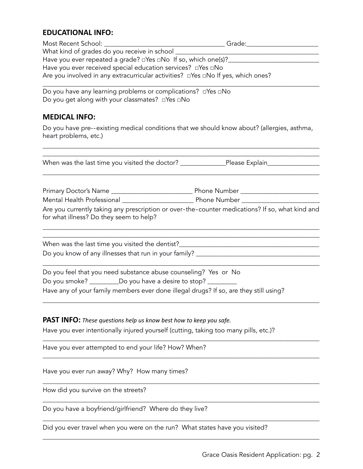# **EDUCATIONAL INFO:**

| Most Recent School:                                                                          | Grade: |
|----------------------------------------------------------------------------------------------|--------|
| What kind of grades do you receive in school                                                 |        |
| Have you ever repeated a grade? $\square$ Yes $\square$ No If so, which one(s)?              |        |
| Have you ever received special education services? $\Box$ Yes $\Box$ No                      |        |
| Are you involved in any extracurricular activities? $\Box$ Yes $\Box$ No If yes, which ones? |        |

\_\_\_\_\_\_\_\_\_\_\_\_\_\_\_\_\_\_\_\_\_\_\_\_\_\_\_\_\_\_\_\_\_\_\_\_\_\_\_\_\_\_\_\_\_\_\_\_\_\_\_\_\_\_\_\_\_\_\_\_\_\_\_\_\_\_\_\_\_\_\_\_\_\_\_\_\_\_\_\_\_\_\_\_\_ Do you have any learning problems or complications? □Yes □No Do you get along with your classmates? □Yes □No

## **MEDICAL INFO:**

Do you have pre--existing medical conditions that we should know about? (allergies, asthma, heart problems, etc.)

\_\_\_\_\_\_\_\_\_\_\_\_\_\_\_\_\_\_\_\_\_\_\_\_\_\_\_\_\_\_\_\_\_\_\_\_\_\_\_\_\_\_\_\_\_\_\_\_\_\_\_\_\_\_\_\_\_\_\_\_\_\_\_\_\_\_\_\_\_\_\_\_\_\_\_\_\_\_\_\_\_\_\_\_\_

| Are you currently taking any prescription or over-the-counter medications? If so, what kind and |
|-------------------------------------------------------------------------------------------------|
|                                                                                                 |
|                                                                                                 |
|                                                                                                 |
|                                                                                                 |

\_\_\_\_\_\_\_\_\_\_\_\_\_\_\_\_\_\_\_\_\_\_\_\_\_\_\_\_\_\_\_\_\_\_\_\_\_\_\_\_\_\_\_\_\_\_\_\_\_\_\_\_\_\_\_\_\_\_\_\_\_\_\_\_\_\_\_\_\_\_\_\_\_\_\_\_\_\_\_\_\_\_\_\_\_

\_\_\_\_\_\_\_\_\_\_\_\_\_\_\_\_\_\_\_\_\_\_\_\_\_\_\_\_\_\_\_\_\_\_\_\_\_\_\_\_\_\_\_\_\_\_\_\_\_\_\_\_\_\_\_\_\_\_\_\_\_\_\_\_\_\_\_\_\_\_\_\_\_\_\_\_\_\_\_\_\_\_\_\_\_

\_\_\_\_\_\_\_\_\_\_\_\_\_\_\_\_\_\_\_\_\_\_\_\_\_\_\_\_\_\_\_\_\_\_\_\_\_\_\_\_\_\_\_\_\_\_\_\_\_\_\_\_\_\_\_\_\_\_\_\_\_\_\_\_\_\_\_\_\_\_\_\_\_\_\_\_\_\_\_\_\_\_\_\_\_

\_\_\_\_\_\_\_\_\_\_\_\_\_\_\_\_\_\_\_\_\_\_\_\_\_\_\_\_\_\_\_\_\_\_\_\_\_\_\_\_\_\_\_\_\_\_\_\_\_\_\_\_\_\_\_\_\_\_\_\_\_\_\_\_\_\_\_\_\_\_\_\_\_\_\_\_\_\_\_\_\_\_\_\_\_

\_\_\_\_\_\_\_\_\_\_\_\_\_\_\_\_\_\_\_\_\_\_\_\_\_\_\_\_\_\_\_\_\_\_\_\_\_\_\_\_\_\_\_\_\_\_\_\_\_\_\_\_\_\_\_\_\_\_\_\_\_\_\_\_\_\_\_\_\_\_\_\_\_\_\_\_\_\_\_\_\_\_\_\_\_

\_\_\_\_\_\_\_\_\_\_\_\_\_\_\_\_\_\_\_\_\_\_\_\_\_\_\_\_\_\_\_\_\_\_\_\_\_\_\_\_\_\_\_\_\_\_\_\_\_\_\_\_\_\_\_\_\_\_\_\_\_\_\_\_\_\_\_\_\_\_\_\_\_\_\_\_\_\_\_\_\_\_\_\_\_

\_\_\_\_\_\_\_\_\_\_\_\_\_\_\_\_\_\_\_\_\_\_\_\_\_\_\_\_\_\_\_\_\_\_\_\_\_\_\_\_\_\_\_\_\_\_\_\_\_\_\_\_\_\_\_\_\_\_\_\_\_\_\_\_\_\_\_\_\_\_\_\_\_\_\_\_\_\_\_\_\_\_\_\_\_

Have any of your family members ever done illegal drugs? If so, are they still using?

#### **PAST INFO:** *These questions help us know best how to keep you safe.*

Have you ever intentionally injured yourself (cutting, taking too many pills, etc.)?

Have you ever attempted to end your life? How? When?

Have you ever run away? Why? How many times?

How did you survive on the streets?

Do you have a boyfriend/girlfriend? Where do they live?

Did you ever travel when you were on the run? What states have you visited?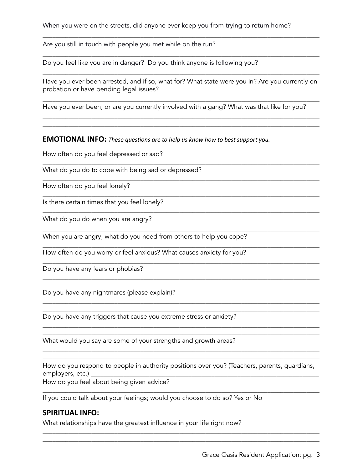Are you still in touch with people you met while on the run?

Do you feel like you are in danger? Do you think anyone is following you?

Have you ever been arrested, and if so, what for? What state were you in? Are you currently on probation or have pending legal issues?

\_\_\_\_\_\_\_\_\_\_\_\_\_\_\_\_\_\_\_\_\_\_\_\_\_\_\_\_\_\_\_\_\_\_\_\_\_\_\_\_\_\_\_\_\_\_\_\_\_\_\_\_\_\_\_\_\_\_\_\_\_\_\_\_\_\_\_\_\_\_\_\_\_\_\_\_\_\_\_\_\_\_\_\_\_

\_\_\_\_\_\_\_\_\_\_\_\_\_\_\_\_\_\_\_\_\_\_\_\_\_\_\_\_\_\_\_\_\_\_\_\_\_\_\_\_\_\_\_\_\_\_\_\_\_\_\_\_\_\_\_\_\_\_\_\_\_\_\_\_\_\_\_\_\_\_\_\_\_\_\_\_\_\_\_\_\_\_\_\_\_ \_\_\_\_\_\_\_\_\_\_\_\_\_\_\_\_\_\_\_\_\_\_\_\_\_\_\_\_\_\_\_\_\_\_\_\_\_\_\_\_\_\_\_\_\_\_\_\_\_\_\_\_\_\_\_\_\_\_\_\_\_\_\_\_\_\_\_\_\_\_\_\_\_\_\_\_\_\_\_\_\_\_\_\_\_

\_\_\_\_\_\_\_\_\_\_\_\_\_\_\_\_\_\_\_\_\_\_\_\_\_\_\_\_\_\_\_\_\_\_\_\_\_\_\_\_\_\_\_\_\_\_\_\_\_\_\_\_\_\_\_\_\_\_\_\_\_\_\_\_\_\_\_\_\_\_\_\_\_\_\_\_\_\_\_\_\_\_\_\_\_

\_\_\_\_\_\_\_\_\_\_\_\_\_\_\_\_\_\_\_\_\_\_\_\_\_\_\_\_\_\_\_\_\_\_\_\_\_\_\_\_\_\_\_\_\_\_\_\_\_\_\_\_\_\_\_\_\_\_\_\_\_\_\_\_\_\_\_\_\_\_\_\_\_\_\_\_\_\_\_\_\_\_\_\_\_

\_\_\_\_\_\_\_\_\_\_\_\_\_\_\_\_\_\_\_\_\_\_\_\_\_\_\_\_\_\_\_\_\_\_\_\_\_\_\_\_\_\_\_\_\_\_\_\_\_\_\_\_\_\_\_\_\_\_\_\_\_\_\_\_\_\_\_\_\_\_\_\_\_\_\_\_\_\_\_\_\_\_\_\_\_

\_\_\_\_\_\_\_\_\_\_\_\_\_\_\_\_\_\_\_\_\_\_\_\_\_\_\_\_\_\_\_\_\_\_\_\_\_\_\_\_\_\_\_\_\_\_\_\_\_\_\_\_\_\_\_\_\_\_\_\_\_\_\_\_\_\_\_\_\_\_\_\_\_\_\_\_\_\_\_\_\_\_\_\_\_

\_\_\_\_\_\_\_\_\_\_\_\_\_\_\_\_\_\_\_\_\_\_\_\_\_\_\_\_\_\_\_\_\_\_\_\_\_\_\_\_\_\_\_\_\_\_\_\_\_\_\_\_\_\_\_\_\_\_\_\_\_\_\_\_\_\_\_\_\_\_\_\_\_\_\_\_\_\_\_\_\_\_\_\_\_

\_\_\_\_\_\_\_\_\_\_\_\_\_\_\_\_\_\_\_\_\_\_\_\_\_\_\_\_\_\_\_\_\_\_\_\_\_\_\_\_\_\_\_\_\_\_\_\_\_\_\_\_\_\_\_\_\_\_\_\_\_\_\_\_\_\_\_\_\_\_\_\_\_\_\_\_\_\_\_\_\_\_\_\_\_

\_\_\_\_\_\_\_\_\_\_\_\_\_\_\_\_\_\_\_\_\_\_\_\_\_\_\_\_\_\_\_\_\_\_\_\_\_\_\_\_\_\_\_\_\_\_\_\_\_\_\_\_\_\_\_\_\_\_\_\_\_\_\_\_\_\_\_\_\_\_\_\_\_\_\_\_\_\_\_\_\_\_\_\_\_

\_\_\_\_\_\_\_\_\_\_\_\_\_\_\_\_\_\_\_\_\_\_\_\_\_\_\_\_\_\_\_\_\_\_\_\_\_\_\_\_\_\_\_\_\_\_\_\_\_\_\_\_\_\_\_\_\_\_\_\_\_\_\_\_\_\_\_\_\_\_\_\_\_\_\_\_\_\_\_\_\_\_\_\_\_ \_\_\_\_\_\_\_\_\_\_\_\_\_\_\_\_\_\_\_\_\_\_\_\_\_\_\_\_\_\_\_\_\_\_\_\_\_\_\_\_\_\_\_\_\_\_\_\_\_\_\_\_\_\_\_\_\_\_\_\_\_\_\_\_\_\_\_\_\_\_\_\_\_\_\_\_\_\_\_\_\_\_\_\_\_

\_\_\_\_\_\_\_\_\_\_\_\_\_\_\_\_\_\_\_\_\_\_\_\_\_\_\_\_\_\_\_\_\_\_\_\_\_\_\_\_\_\_\_\_\_\_\_\_\_\_\_\_\_\_\_\_\_\_\_\_\_\_\_\_\_\_\_\_\_\_\_\_\_\_\_\_\_\_\_\_\_\_\_\_\_ \_\_\_\_\_\_\_\_\_\_\_\_\_\_\_\_\_\_\_\_\_\_\_\_\_\_\_\_\_\_\_\_\_\_\_\_\_\_\_\_\_\_\_\_\_\_\_\_\_\_\_\_\_\_\_\_\_\_\_\_\_\_\_\_\_\_\_\_\_\_\_\_\_\_\_\_\_\_\_\_\_\_\_\_\_

\_\_\_\_\_\_\_\_\_\_\_\_\_\_\_\_\_\_\_\_\_\_\_\_\_\_\_\_\_\_\_\_\_\_\_\_\_\_\_\_\_\_\_\_\_\_\_\_\_\_\_\_\_\_\_\_\_\_\_\_\_\_\_\_\_\_\_\_\_\_\_\_\_\_\_\_\_\_\_\_\_\_\_\_\_ \_\_\_\_\_\_\_\_\_\_\_\_\_\_\_\_\_\_\_\_\_\_\_\_\_\_\_\_\_\_\_\_\_\_\_\_\_\_\_\_\_\_\_\_\_\_\_\_\_\_\_\_\_\_\_\_\_\_\_\_\_\_\_\_\_\_\_\_\_\_\_\_\_\_\_\_\_\_\_\_\_\_\_\_\_

\_\_\_\_\_\_\_\_\_\_\_\_\_\_\_\_\_\_\_\_\_\_\_\_\_\_\_\_\_\_\_\_\_\_\_\_\_\_\_\_\_\_\_\_\_\_\_\_\_\_\_\_\_\_\_\_\_\_\_\_\_\_\_\_\_\_\_\_\_\_\_\_\_\_\_\_\_\_\_\_\_\_\_\_\_ \_\_\_\_\_\_\_\_\_\_\_\_\_\_\_\_\_\_\_\_\_\_\_\_\_\_\_\_\_\_\_\_\_\_\_\_\_\_\_\_\_\_\_\_\_\_\_\_\_\_\_\_\_\_\_\_\_\_\_\_\_\_\_\_\_\_\_\_\_\_\_\_\_\_\_\_\_\_\_\_\_\_\_\_\_

\_\_\_\_\_\_\_\_\_\_\_\_\_\_\_\_\_\_\_\_\_\_\_\_\_\_\_\_\_\_\_\_\_\_\_\_\_\_\_\_\_\_\_\_\_\_\_\_\_\_\_\_\_\_\_\_\_\_\_\_\_\_\_\_\_\_\_\_\_\_\_\_\_\_\_\_\_\_\_\_\_\_\_\_\_

\_\_\_\_\_\_\_\_\_\_\_\_\_\_\_\_\_\_\_\_\_\_\_\_\_\_\_\_\_\_\_\_\_\_\_\_\_\_\_\_\_\_\_\_\_\_\_\_\_\_\_\_\_\_\_\_\_\_\_\_\_\_\_\_\_\_\_\_\_\_\_\_\_\_\_\_\_\_\_\_\_\_\_\_\_

\_\_\_\_\_\_\_\_\_\_\_\_\_\_\_\_\_\_\_\_\_\_\_\_\_\_\_\_\_\_\_\_\_\_\_\_\_\_\_\_\_\_\_\_\_\_\_\_\_\_\_\_\_\_\_\_\_\_\_\_\_\_\_\_\_\_\_\_\_\_\_\_\_\_\_\_\_\_\_\_\_\_\_\_\_

Have you ever been, or are you currently involved with a gang? What was that like for you?

**EMOTIONAL INFO:** *These questions are to help us know how to best support you.*

How often do you feel depressed or sad?

What do you do to cope with being sad or depressed?

How often do you feel lonely?

Is there certain times that you feel lonely?

What do you do when you are angry?

When you are angry, what do you need from others to help you cope?

How often do you worry or feel anxious? What causes anxiety for you?

Do you have any fears or phobias?

Do you have any nightmares (please explain)?

Do you have any triggers that cause you extreme stress or anxiety?

What would you say are some of your strengths and growth areas?

How do you respond to people in authority positions over you? (Teachers, parents, guardians, employers, etc.) \_

\_\_\_\_\_\_\_\_\_\_\_\_\_\_\_\_\_\_\_\_\_\_\_\_\_\_\_\_\_\_\_\_\_\_\_\_\_\_\_\_\_\_\_\_\_\_\_\_\_\_\_\_\_\_\_\_\_\_\_\_\_\_\_\_\_\_\_\_\_\_\_\_\_\_\_\_\_\_\_\_\_\_\_\_\_

\_\_\_\_\_\_\_\_\_\_\_\_\_\_\_\_\_\_\_\_\_\_\_\_\_\_\_\_\_\_\_\_\_\_\_\_\_\_\_\_\_\_\_\_\_\_\_\_\_\_\_\_\_\_\_\_\_\_\_\_\_\_\_\_\_\_\_\_\_\_\_\_\_\_\_\_\_\_\_\_\_\_\_\_\_ \_\_\_\_\_\_\_\_\_\_\_\_\_\_\_\_\_\_\_\_\_\_\_\_\_\_\_\_\_\_\_\_\_\_\_\_\_\_\_\_\_\_\_\_\_\_\_\_\_\_\_\_\_\_\_\_\_\_\_\_\_\_\_\_\_\_\_\_\_\_\_\_\_\_\_\_\_\_\_\_\_\_\_\_\_

How do you feel about being given advice?

If you could talk about your feelings; would you choose to do so? Yes or No

## **SPIRITUAL INFO:**

What relationships have the greatest influence in your life right now?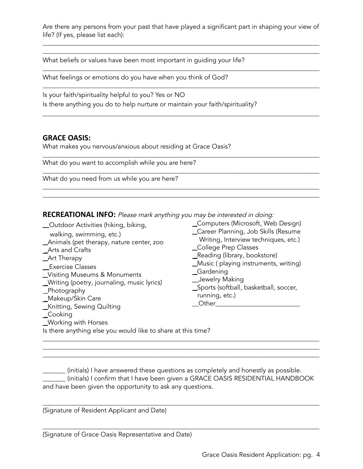Are there any persons from your past that have played a significant part in shaping your view of life? (If yes, please list each):

\_\_\_\_\_\_\_\_\_\_\_\_\_\_\_\_\_\_\_\_\_\_\_\_\_\_\_\_\_\_\_\_\_\_\_\_\_\_\_\_\_\_\_\_\_\_\_\_\_\_\_\_\_\_\_\_\_\_\_\_\_\_\_\_\_\_\_\_\_\_\_\_\_\_\_\_\_\_\_\_\_\_\_\_\_ \_\_\_\_\_\_\_\_\_\_\_\_\_\_\_\_\_\_\_\_\_\_\_\_\_\_\_\_\_\_\_\_\_\_\_\_\_\_\_\_\_\_\_\_\_\_\_\_\_\_\_\_\_\_\_\_\_\_\_\_\_\_\_\_\_\_\_\_\_\_\_\_\_\_\_\_\_\_\_\_\_\_\_\_\_

\_\_\_\_\_\_\_\_\_\_\_\_\_\_\_\_\_\_\_\_\_\_\_\_\_\_\_\_\_\_\_\_\_\_\_\_\_\_\_\_\_\_\_\_\_\_\_\_\_\_\_\_\_\_\_\_\_\_\_\_\_\_\_\_\_\_\_\_\_\_\_\_\_\_\_\_\_\_\_\_\_\_\_\_\_

\_\_\_\_\_\_\_\_\_\_\_\_\_\_\_\_\_\_\_\_\_\_\_\_\_\_\_\_\_\_\_\_\_\_\_\_\_\_\_\_\_\_\_\_\_\_\_\_\_\_\_\_\_\_\_\_\_\_\_\_\_\_\_\_\_\_\_\_\_\_\_\_\_\_\_\_\_\_\_\_\_\_\_\_\_

\_\_\_\_\_\_\_\_\_\_\_\_\_\_\_\_\_\_\_\_\_\_\_\_\_\_\_\_\_\_\_\_\_\_\_\_\_\_\_\_\_\_\_\_\_\_\_\_\_\_\_\_\_\_\_\_\_\_\_\_\_\_\_\_\_\_\_\_\_\_\_\_\_\_\_\_\_\_\_\_\_\_\_\_\_

\_\_\_\_\_\_\_\_\_\_\_\_\_\_\_\_\_\_\_\_\_\_\_\_\_\_\_\_\_\_\_\_\_\_\_\_\_\_\_\_\_\_\_\_\_\_\_\_\_\_\_\_\_\_\_\_\_\_\_\_\_\_\_\_\_\_\_\_\_\_\_\_\_\_\_\_\_\_\_\_\_\_\_\_\_

\_\_\_\_\_\_\_\_\_\_\_\_\_\_\_\_\_\_\_\_\_\_\_\_\_\_\_\_\_\_\_\_\_\_\_\_\_\_\_\_\_\_\_\_\_\_\_\_\_\_\_\_\_\_\_\_\_\_\_\_\_\_\_\_\_\_\_\_\_\_\_\_\_\_\_\_\_\_\_\_\_\_\_\_\_

\_\_\_\_\_\_\_\_\_\_\_\_\_\_\_\_\_\_\_\_\_\_\_\_\_\_\_\_\_\_\_\_\_\_\_\_\_\_\_\_\_\_\_\_\_\_\_\_\_\_\_\_\_\_\_\_\_\_\_\_\_\_\_\_\_\_\_\_\_\_\_\_\_\_\_\_\_\_\_\_\_\_\_\_\_ \_\_\_\_\_\_\_\_\_\_\_\_\_\_\_\_\_\_\_\_\_\_\_\_\_\_\_\_\_\_\_\_\_\_\_\_\_\_\_\_\_\_\_\_\_\_\_\_\_\_\_\_\_\_\_\_\_\_\_\_\_\_\_\_\_\_\_\_\_\_\_\_\_\_\_\_\_\_\_\_\_\_\_\_\_

What beliefs or values have been most important in quiding your life?

What feelings or emotions do you have when you think of God?

Is your faith/spirituality helpful to you? Yes or NO Is there anything you do to help nurture or maintain your faith/spirituality?

#### **GRACE OASIS:**

What makes you nervous/anxious about residing at Grace Oasis?

What do you want to accomplish while you are here?

What do you need from us while you are here?

**RECREATIONAL INFO:** Please mark anything you may be interested in doing:

\_\_Outdoor Activities (hiking, biking, walking, swimming, etc.) \_Animals (pet therapy, nature center, zoo \_Arts and Crafts \_Art Therapy \_\_Exercise Classes \_Visiting Museums & Monuments \_Writing (poetry, journaling, music lyrics) \_Photography \_Makeup/Skin Care \_Knitting, Sewing Quilting \_Cooking \_Working with Horses \_Computers (Microsoft, Web Design) \_Career Planning, Job Skills (Resume Writing, Interview techniques, etc.) \_College Prep Classes \_Reading (library, bookstore) \_Music ( playing instruments, writing) \_Gardening \_\_Jewelry Making \_Sports (softball, basketball, soccer, running, etc.)  $\Box$  Other Is there anything else you would like to share at this time?

\_\_\_\_\_\_\_ (initials) I have answered these questions as completely and honestly as possible. \_\_\_\_\_\_\_ (initials) I confirm that I have been given a GRACE OASIS RESIDENTIAL HANDBOOK and have been given the opportunity to ask any questions.

\_\_\_\_\_\_\_\_\_\_\_\_\_\_\_\_\_\_\_\_\_\_\_\_\_\_\_\_\_\_\_\_\_\_\_\_\_\_\_\_\_\_\_\_\_\_\_\_\_\_\_\_\_\_\_\_\_\_\_\_\_\_\_\_\_\_\_\_\_\_\_\_\_\_\_\_\_\_\_\_\_\_\_\_\_

\_\_\_\_\_\_\_\_\_\_\_\_\_\_\_\_\_\_\_\_\_\_\_\_\_\_\_\_\_\_\_\_\_\_\_\_\_\_\_\_\_\_\_\_\_\_\_\_\_\_\_\_\_\_\_\_\_\_\_\_\_\_\_\_\_\_\_\_\_\_\_\_\_\_\_\_\_\_\_\_\_\_\_\_\_

\_\_\_\_\_\_\_\_\_\_\_\_\_\_\_\_\_\_\_\_\_\_\_\_\_\_\_\_\_\_\_\_\_\_\_\_\_\_\_\_\_\_\_\_\_\_\_\_\_\_\_\_\_\_\_\_\_\_\_\_\_\_\_\_\_\_\_\_\_\_\_\_\_\_\_\_\_\_\_\_\_\_\_\_\_ \_\_\_\_\_\_\_\_\_\_\_\_\_\_\_\_\_\_\_\_\_\_\_\_\_\_\_\_\_\_\_\_\_\_\_\_\_\_\_\_\_\_\_\_\_\_\_\_\_\_\_\_\_\_\_\_\_\_\_\_\_\_\_\_\_\_\_\_\_\_\_\_\_\_\_\_\_\_\_\_\_\_\_\_\_ \_\_\_\_\_\_\_\_\_\_\_\_\_\_\_\_\_\_\_\_\_\_\_\_\_\_\_\_\_\_\_\_\_\_\_\_\_\_\_\_\_\_\_\_\_\_\_\_\_\_\_\_\_\_\_\_\_\_\_\_\_\_\_\_\_\_\_\_\_\_\_\_\_\_\_\_\_\_\_\_\_\_\_\_\_

(Signature of Resident Applicant and Date)

(Signature of Grace Oasis Representative and Date)